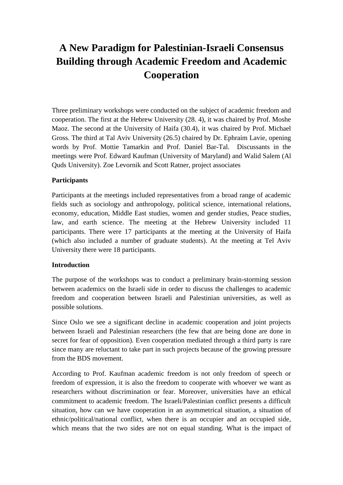# **A New Paradigm for Palestinian-Israeli Consensus Building through Academic Freedom and Academic Cooperation**

Three preliminary workshops were conducted on the subject of academic freedom and cooperation. The first at the Hebrew University (28. 4), it was chaired by Prof. Moshe Maoz. The second at the University of Haifa (30.4), it was chaired by Prof. Michael Gross. The third at Tal Aviv University (26.5) chaired by Dr. Ephraim Lavie, opening words by Prof. Mottie Tamarkin and Prof. Daniel Bar-Tal. Discussants in the meetings were Prof. Edward Kaufman (University of Maryland) and Walid Salem (Al Quds University). Zoe Levornik and Scott Ratner, project associates

#### **Participants**

Participants at the meetings included representatives from a broad range of academic fields such as sociology and anthropology, political science, international relations, economy, education, Middle East studies, women and gender studies, Peace studies, law, and earth science. The meeting at the Hebrew University included 11 participants. There were 17 participants at the meeting at the University of Haifa (which also included a number of graduate students). At the meeting at Tel Aviv University there were 18 participants.

#### **Introduction**

The purpose of the workshops was to conduct a preliminary brain-storming session between academics on the Israeli side in order to discuss the challenges to academic freedom and cooperation between Israeli and Palestinian universities, as well as possible solutions.

Since Oslo we see a significant decline in academic cooperation and joint projects between Israeli and Palestinian researchers (the few that are being done are done in secret for fear of opposition). Even cooperation mediated through a third party is rare since many are reluctant to take part in such projects because of the growing pressure from the BDS movement.

According to Prof. Kaufman academic freedom is not only freedom of speech or freedom of expression, it is also the freedom to cooperate with whoever we want as researchers without discrimination or fear. Moreover, universities have an ethical commitment to academic freedom. The Israeli/Palestinian conflict presents a difficult situation, how can we have cooperation in an asymmetrical situation, a situation of ethnic/political/national conflict, when there is an occupier and an occupied side, which means that the two sides are not on equal standing. What is the impact of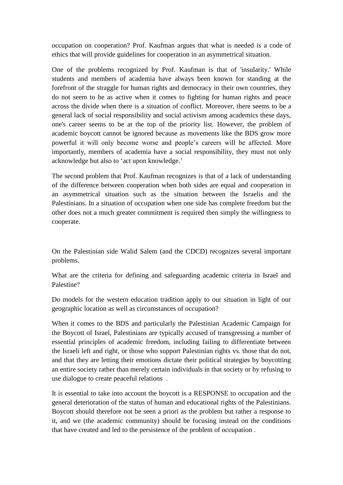occupation on cooperation? Prof. Kaufman argues that what is needed is a code of ethics that will provide guidelines for cooperation in an asymmetrical situation.

One of the problems recognized by Prof. Kaufman is that of 'insularity.' While students and members of academia have always been known for standing at the forefront of the straggle for human rights and democracy in their own countries, they do not seem to be as active when it comes to fighting for human rights and peace across the divide when there is a situation of conflict. Moreover, there seems to be a general lack of social responsibility and social activism among academics these days, one's career seems to be at the top of the priority list. However, the problem of academic boycott cannot be ignored because as movements like the BDS grow more powerful it will only become worse and people's careers will be affected. More importantly, members of academia have a social responsibility, they must not only acknowledge but also to 'act upon knowledge.'

The second problem that Prof. Kaufman recognizes is that of a lack of understanding of the difference between cooperation when both sides are equal and cooperation in an asymmetrical situation such as the situation between the Israelis and the Palestinians. In a situation of occupation when one side has complete freedom but the other does not a much greater commitment is required then simply the willingness to cooperate.

On the Palestinian side Walid Salem (and the CDCD) recognizes several important problems.

What are the criteria for defining and safeguarding academic criteria in Israel and Palestine?

Do models for the western education tradition apply to our situation in light of our geographic location as well as circumstances of occupation?

When it comes to the BDS and particularly the Palestinian Academic Campaign for the Boycott of Israel, Palestinians are typically accused of transgressing a number of essential principles of academic freedom, including failing to differentiate between the Israeli left and right, or those who support Palestinian rights vs. those that do not, and that they are letting their emotions dictate their political strategies by boycotting an entire society rather than merely certain individuals in that society or by refusing to use dialogue to create peaceful relations .

It is essential to take into account the boycott is a RESPONSE to occupation and the general deterioration of the status of human and educational rights of the Palestinians. Boycott should therefore not be seen a priori as the problem but rather a response to it, and we (the academic community) should be focusing instead on the conditions that have created and led to the persistence of the problem of occupation .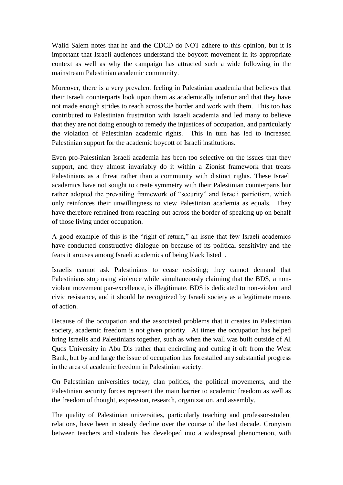Walid Salem notes that he and the CDCD do NOT adhere to this opinion, but it is important that Israeli audiences understand the boycott movement in its appropriate context as well as why the campaign has attracted such a wide following in the mainstream Palestinian academic community.

Moreover, there is a very prevalent feeling in Palestinian academia that believes that their Israeli counterparts look upon them as academically inferior and that they have not made enough strides to reach across the border and work with them. This too has contributed to Palestinian frustration with Israeli academia and led many to believe that they are not doing enough to remedy the injustices of occupation, and particularly the violation of Palestinian academic rights. This in turn has led to increased Palestinian support for the academic boycott of Israeli institutions.

Even pro-Palestinian Israeli academia has been too selective on the issues that they support, and they almost invariably do it within a Zionist framework that treats Palestinians as a threat rather than a community with distinct rights. These Israeli academics have not sought to create symmetry with their Palestinian counterparts bur rather adopted the prevailing framework of "security" and Israeli patriotism, which only reinforces their unwillingness to view Palestinian academia as equals. They have therefore refrained from reaching out across the border of speaking up on behalf of those living under occupation.

A good example of this is the "right of return," an issue that few Israeli academics have conducted constructive dialogue on because of its political sensitivity and the fears it arouses among Israeli academics of being black listed .

Israelis cannot ask Palestinians to cease resisting; they cannot demand that Palestinians stop using violence while simultaneously claiming that the BDS, a nonviolent movement par-excellence, is illegitimate. BDS is dedicated to non-violent and civic resistance, and it should be recognized by Israeli society as a legitimate means of action.

Because of the occupation and the associated problems that it creates in Palestinian society, academic freedom is not given priority. At times the occupation has helped bring Israelis and Palestinians together, such as when the wall was built outside of Al Quds University in Abu Dis rather than encircling and cutting it off from the West Bank, but by and large the issue of occupation has forestalled any substantial progress in the area of academic freedom in Palestinian society.

On Palestinian universities today, clan politics, the political movements, and the Palestinian security forces represent the main barrier to academic freedom as well as the freedom of thought, expression, research, organization, and assembly.

The quality of Palestinian universities, particularly teaching and professor-student relations, have been in steady decline over the course of the last decade. Cronyism between teachers and students has developed into a widespread phenomenon, with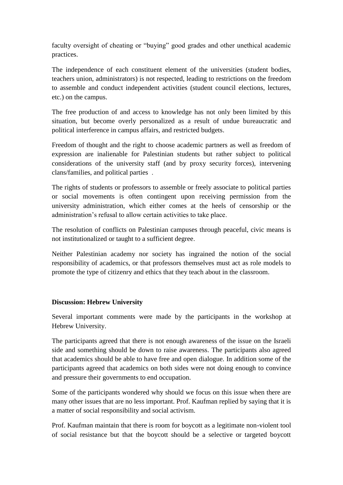faculty oversight of cheating or "buying" good grades and other unethical academic practices.

The independence of each constituent element of the universities (student bodies, teachers union, administrators) is not respected, leading to restrictions on the freedom to assemble and conduct independent activities (student council elections, lectures, etc.) on the campus.

The free production of and access to knowledge has not only been limited by this situation, but become overly personalized as a result of undue bureaucratic and political interference in campus affairs, and restricted budgets.

Freedom of thought and the right to choose academic partners as well as freedom of expression are inalienable for Palestinian students but rather subject to political considerations of the university staff (and by proxy security forces), intervening clans/families, and political parties .

The rights of students or professors to assemble or freely associate to political parties or social movements is often contingent upon receiving permission from the university administration, which either comes at the heels of censorship or the administration's refusal to allow certain activities to take place.

The resolution of conflicts on Palestinian campuses through peaceful, civic means is not institutionalized or taught to a sufficient degree.

Neither Palestinian academy nor society has ingrained the notion of the social responsibility of academics, or that professors themselves must act as role models to promote the type of citizenry and ethics that they teach about in the classroom.

## **Discussion: Hebrew University**

Several important comments were made by the participants in the workshop at Hebrew University.

The participants agreed that there is not enough awareness of the issue on the Israeli side and something should be down to raise awareness. The participants also agreed that academics should be able to have free and open dialogue. In addition some of the participants agreed that academics on both sides were not doing enough to convince and pressure their governments to end occupation.

Some of the participants wondered why should we focus on this issue when there are many other issues that are no less important. Prof. Kaufman replied by saying that it is a matter of social responsibility and social activism.

Prof. Kaufman maintain that there is room for boycott as a legitimate non-violent tool of social resistance but that the boycott should be a selective or targeted boycott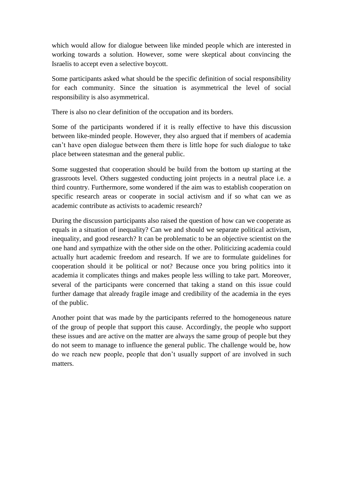which would allow for dialogue between like minded people which are interested in working towards a solution. However, some were skeptical about convincing the Israelis to accept even a selective boycott.

Some participants asked what should be the specific definition of social responsibility for each community. Since the situation is asymmetrical the level of social responsibility is also asymmetrical.

There is also no clear definition of the occupation and its borders.

Some of the participants wondered if it is really effective to have this discussion between like-minded people. However, they also argued that if members of academia can't have open dialogue between them there is little hope for such dialogue to take place between statesman and the general public.

Some suggested that cooperation should be build from the bottom up starting at the grassroots level. Others suggested conducting joint projects in a neutral place i.e. a third country. Furthermore, some wondered if the aim was to establish cooperation on specific research areas or cooperate in social activism and if so what can we as academic contribute as activists to academic research?

During the discussion participants also raised the question of how can we cooperate as equals in a situation of inequality? Can we and should we separate political activism, inequality, and good research? It can be problematic to be an objective scientist on the one hand and sympathize with the other side on the other. Politicizing academia could actually hurt academic freedom and research. If we are to formulate guidelines for cooperation should it be political or not? Because once you bring politics into it academia it complicates things and makes people less willing to take part. Moreover, several of the participants were concerned that taking a stand on this issue could further damage that already fragile image and credibility of the academia in the eyes of the public.

Another point that was made by the participants referred to the homogeneous nature of the group of people that support this cause. Accordingly, the people who support these issues and are active on the matter are always the same group of people but they do not seem to manage to influence the general public. The challenge would be, how do we reach new people, people that don't usually support of are involved in such matters.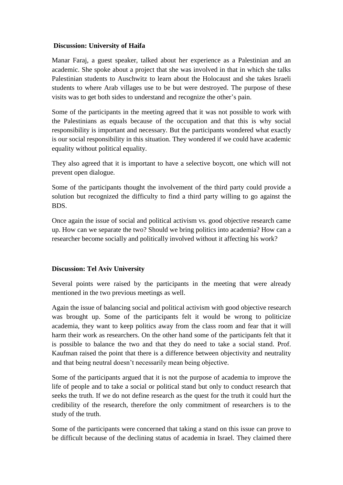## **Discussion: University of Haifa**

Manar Faraj, a guest speaker, talked about her experience as a Palestinian and an academic. She spoke about a project that she was involved in that in which she talks Palestinian students to Auschwitz to learn about the Holocaust and she takes Israeli students to where Arab villages use to be but were destroyed. The purpose of these visits was to get both sides to understand and recognize the other's pain.

Some of the participants in the meeting agreed that it was not possible to work with the Palestinians as equals because of the occupation and that this is why social responsibility is important and necessary. But the participants wondered what exactly is our social responsibility in this situation. They wondered if we could have academic equality without political equality.

They also agreed that it is important to have a selective boycott, one which will not prevent open dialogue.

Some of the participants thought the involvement of the third party could provide a solution but recognized the difficulty to find a third party willing to go against the BDS.

Once again the issue of social and political activism vs. good objective research came up. How can we separate the two? Should we bring politics into academia? How can a researcher become socially and politically involved without it affecting his work?

## **Discussion: Tel Aviv University**

Several points were raised by the participants in the meeting that were already mentioned in the two previous meetings as well.

Again the issue of balancing social and political activism with good objective research was brought up. Some of the participants felt it would be wrong to politicize academia, they want to keep politics away from the class room and fear that it will harm their work as researchers. On the other hand some of the participants felt that it is possible to balance the two and that they do need to take a social stand. Prof. Kaufman raised the point that there is a difference between objectivity and neutrality and that being neutral doesn't necessarily mean being objective.

Some of the participants argued that it is not the purpose of academia to improve the life of people and to take a social or political stand but only to conduct research that seeks the truth. If we do not define research as the quest for the truth it could hurt the credibility of the research, therefore the only commitment of researchers is to the study of the truth.

Some of the participants were concerned that taking a stand on this issue can prove to be difficult because of the declining status of academia in Israel. They claimed there